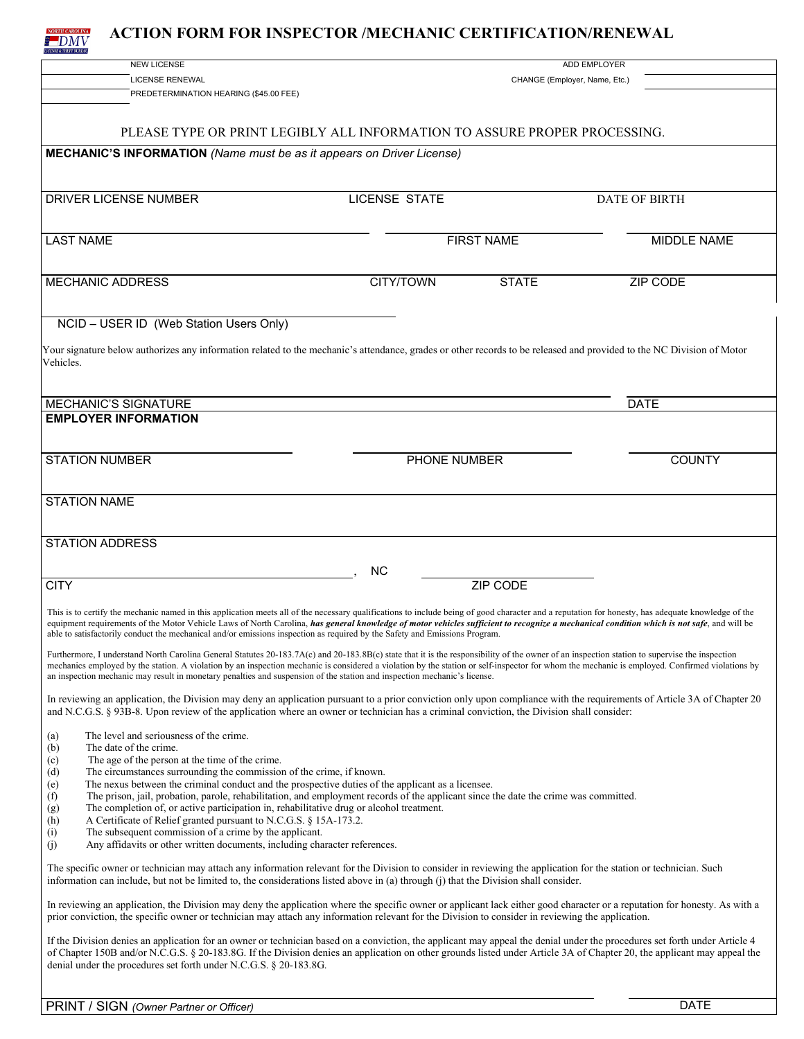

## **ACTION FORM FOR INSPECTOR /MECHANIC CERTIFICATION/RENEWAL**

| <b>NEW LICENSE</b>                                                                                                                                                                                                                                                                                                                                                                              |                               | <b>ADD EMPLOYER</b> |                      |  |  |  |
|-------------------------------------------------------------------------------------------------------------------------------------------------------------------------------------------------------------------------------------------------------------------------------------------------------------------------------------------------------------------------------------------------|-------------------------------|---------------------|----------------------|--|--|--|
| <b>LICENSE RENEWAL</b>                                                                                                                                                                                                                                                                                                                                                                          | CHANGE (Employer, Name, Etc.) |                     |                      |  |  |  |
| PREDETERMINATION HEARING (\$45.00 FEE)                                                                                                                                                                                                                                                                                                                                                          |                               |                     |                      |  |  |  |
|                                                                                                                                                                                                                                                                                                                                                                                                 |                               |                     |                      |  |  |  |
|                                                                                                                                                                                                                                                                                                                                                                                                 |                               |                     |                      |  |  |  |
| PLEASE TYPE OR PRINT LEGIBLY ALL INFORMATION TO ASSURE PROPER PROCESSING.                                                                                                                                                                                                                                                                                                                       |                               |                     |                      |  |  |  |
| <b>MECHANIC'S INFORMATION</b> (Name must be as it appears on Driver License)                                                                                                                                                                                                                                                                                                                    |                               |                     |                      |  |  |  |
|                                                                                                                                                                                                                                                                                                                                                                                                 |                               |                     |                      |  |  |  |
|                                                                                                                                                                                                                                                                                                                                                                                                 |                               |                     |                      |  |  |  |
| <b>DRIVER LICENSE NUMBER</b>                                                                                                                                                                                                                                                                                                                                                                    | <b>LICENSE STATE</b>          |                     | <b>DATE OF BIRTH</b> |  |  |  |
|                                                                                                                                                                                                                                                                                                                                                                                                 |                               |                     |                      |  |  |  |
|                                                                                                                                                                                                                                                                                                                                                                                                 |                               |                     |                      |  |  |  |
| <b>LAST NAME</b>                                                                                                                                                                                                                                                                                                                                                                                |                               | <b>FIRST NAME</b>   | MIDDLE NAME          |  |  |  |
|                                                                                                                                                                                                                                                                                                                                                                                                 |                               |                     |                      |  |  |  |
|                                                                                                                                                                                                                                                                                                                                                                                                 |                               |                     |                      |  |  |  |
| <b>MECHANIC ADDRESS</b>                                                                                                                                                                                                                                                                                                                                                                         | CITY/TOWN                     | <b>STATE</b>        | <b>ZIP CODE</b>      |  |  |  |
|                                                                                                                                                                                                                                                                                                                                                                                                 |                               |                     |                      |  |  |  |
| NCID - USER ID (Web Station Users Only)                                                                                                                                                                                                                                                                                                                                                         |                               |                     |                      |  |  |  |
|                                                                                                                                                                                                                                                                                                                                                                                                 |                               |                     |                      |  |  |  |
| Your signature below authorizes any information related to the mechanic's attendance, grades or other records to be released and provided to the NC Division of Motor                                                                                                                                                                                                                           |                               |                     |                      |  |  |  |
| Vehicles.                                                                                                                                                                                                                                                                                                                                                                                       |                               |                     |                      |  |  |  |
|                                                                                                                                                                                                                                                                                                                                                                                                 |                               |                     |                      |  |  |  |
|                                                                                                                                                                                                                                                                                                                                                                                                 |                               |                     |                      |  |  |  |
| MECHANIC'S SIGNATURE                                                                                                                                                                                                                                                                                                                                                                            |                               |                     | <b>DATE</b>          |  |  |  |
| <b>EMPLOYER INFORMATION</b>                                                                                                                                                                                                                                                                                                                                                                     |                               |                     |                      |  |  |  |
|                                                                                                                                                                                                                                                                                                                                                                                                 |                               |                     |                      |  |  |  |
|                                                                                                                                                                                                                                                                                                                                                                                                 |                               |                     |                      |  |  |  |
| <b>STATION NUMBER</b>                                                                                                                                                                                                                                                                                                                                                                           | PHONE NUMBER                  |                     | <b>COUNTY</b>        |  |  |  |
|                                                                                                                                                                                                                                                                                                                                                                                                 |                               |                     |                      |  |  |  |
| <b>STATION NAME</b>                                                                                                                                                                                                                                                                                                                                                                             |                               |                     |                      |  |  |  |
|                                                                                                                                                                                                                                                                                                                                                                                                 |                               |                     |                      |  |  |  |
|                                                                                                                                                                                                                                                                                                                                                                                                 |                               |                     |                      |  |  |  |
| <b>STATION ADDRESS</b>                                                                                                                                                                                                                                                                                                                                                                          |                               |                     |                      |  |  |  |
|                                                                                                                                                                                                                                                                                                                                                                                                 |                               |                     |                      |  |  |  |
|                                                                                                                                                                                                                                                                                                                                                                                                 | ΝC                            |                     |                      |  |  |  |
| <b>CITY</b>                                                                                                                                                                                                                                                                                                                                                                                     |                               | <b>ZIP CODE</b>     |                      |  |  |  |
|                                                                                                                                                                                                                                                                                                                                                                                                 |                               |                     |                      |  |  |  |
| This is to certify the mechanic named in this application meets all of the necessary qualifications to include being of good character and a reputation for honesty, has adequate knowledge of the<br>equipment requirements of the Motor Vehicle Laws of North Carolina, has general knowledge of motor vehicles sufficient to recognize a mechanical condition which is not safe, and will be |                               |                     |                      |  |  |  |
| able to satisfactorily conduct the mechanical and/or emissions inspection as required by the Safety and Emissions Program.                                                                                                                                                                                                                                                                      |                               |                     |                      |  |  |  |
|                                                                                                                                                                                                                                                                                                                                                                                                 |                               |                     |                      |  |  |  |
| Furthermore, I understand North Carolina General Statutes 20-183.7A(c) and 20-183.8B(c) state that it is the responsibility of the owner of an inspection station to supervise the inspection<br>mechanics employed by the station. A violation by an inspection mechanic is considered a violation by the station or self-inspector for whom the mechanic is employed. Confirmed violations by |                               |                     |                      |  |  |  |
| an inspection mechanic may result in monetary penalties and suspension of the station and inspection mechanic's license.                                                                                                                                                                                                                                                                        |                               |                     |                      |  |  |  |
|                                                                                                                                                                                                                                                                                                                                                                                                 |                               |                     |                      |  |  |  |
| In reviewing an application, the Division may deny an application pursuant to a prior conviction only upon compliance with the requirements of Article 3A of Chapter 20<br>and N.C.G.S. § 93B-8. Upon review of the application where an owner or technician has a criminal conviction, the Division shall consider:                                                                            |                               |                     |                      |  |  |  |
|                                                                                                                                                                                                                                                                                                                                                                                                 |                               |                     |                      |  |  |  |
| The level and seriousness of the crime.<br>(a)                                                                                                                                                                                                                                                                                                                                                  |                               |                     |                      |  |  |  |
| The date of the crime.<br>(b)                                                                                                                                                                                                                                                                                                                                                                   |                               |                     |                      |  |  |  |
| The age of the person at the time of the crime.<br>(c)                                                                                                                                                                                                                                                                                                                                          |                               |                     |                      |  |  |  |
| (d)<br>The circumstances surrounding the commission of the crime, if known.<br>The nexus between the criminal conduct and the prospective duties of the applicant as a licensee.<br>(e)                                                                                                                                                                                                         |                               |                     |                      |  |  |  |
| (f)<br>The prison, jail, probation, parole, rehabilitation, and employment records of the applicant since the date the crime was committed.                                                                                                                                                                                                                                                     |                               |                     |                      |  |  |  |
| The completion of, or active participation in, rehabilitative drug or alcohol treatment.<br>(g)                                                                                                                                                                                                                                                                                                 |                               |                     |                      |  |  |  |
| (h)<br>A Certificate of Relief granted pursuant to N.C.G.S. § 15A-173.2.                                                                                                                                                                                                                                                                                                                        |                               |                     |                      |  |  |  |
| The subsequent commission of a crime by the applicant.<br>(i)                                                                                                                                                                                                                                                                                                                                   |                               |                     |                      |  |  |  |
| (j)<br>Any affidavits or other written documents, including character references.                                                                                                                                                                                                                                                                                                               |                               |                     |                      |  |  |  |
| The specific owner or technician may attach any information relevant for the Division to consider in reviewing the application for the station or technician. Such                                                                                                                                                                                                                              |                               |                     |                      |  |  |  |
| information can include, but not be limited to, the considerations listed above in (a) through (j) that the Division shall consider.                                                                                                                                                                                                                                                            |                               |                     |                      |  |  |  |
|                                                                                                                                                                                                                                                                                                                                                                                                 |                               |                     |                      |  |  |  |
| In reviewing an application, the Division may deny the application where the specific owner or applicant lack either good character or a reputation for honesty. As with a                                                                                                                                                                                                                      |                               |                     |                      |  |  |  |
| prior conviction, the specific owner or technician may attach any information relevant for the Division to consider in reviewing the application.                                                                                                                                                                                                                                               |                               |                     |                      |  |  |  |
| If the Division denies an application for an owner or technician based on a conviction, the applicant may appeal the denial under the procedures set forth under Article 4                                                                                                                                                                                                                      |                               |                     |                      |  |  |  |
| of Chapter 150B and/or N.C.G.S. § 20-183.8G. If the Division denies an application on other grounds listed under Article 3A of Chapter 20, the applicant may appeal the                                                                                                                                                                                                                         |                               |                     |                      |  |  |  |
| denial under the procedures set forth under N.C.G.S. § 20-183.8G.                                                                                                                                                                                                                                                                                                                               |                               |                     |                      |  |  |  |
|                                                                                                                                                                                                                                                                                                                                                                                                 |                               |                     |                      |  |  |  |